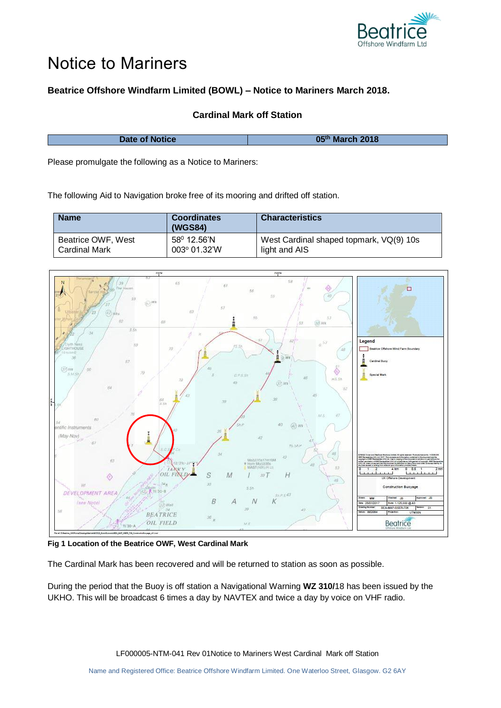

## Notice to Mariners

## **Beatrice Offshore Windfarm Limited (BOWL) – Notice to Mariners March 2018.**

## **Cardinal Mark off Station**

| Date of Notice | 05th March 2018 |
|----------------|-----------------|
|                |                 |

Please promulgate the following as a Notice to Mariners:

The following Aid to Navigation broke free of its mooring and drifted off station.

| <b>Name</b>          | <b>Coordinates</b><br>(WGS84) | <b>Characteristics</b>                  |
|----------------------|-------------------------------|-----------------------------------------|
| Beatrice OWF, West   | $58^{\circ}$ 12.56'N          | West Cardinal shaped topmark, VQ(9) 10s |
| <b>Cardinal Mark</b> | 003° 01.32'W                  | light and AIS                           |



**Fig 1 Location of the Beatrice OWF, West Cardinal Mark**

The Cardinal Mark has been recovered and will be returned to station as soon as possible.

During the period that the Buoy is off station a Navigational Warning **WZ 310/**18 has been issued by the UKHO. This will be broadcast 6 times a day by NAVTEX and twice a day by voice on VHF radio.